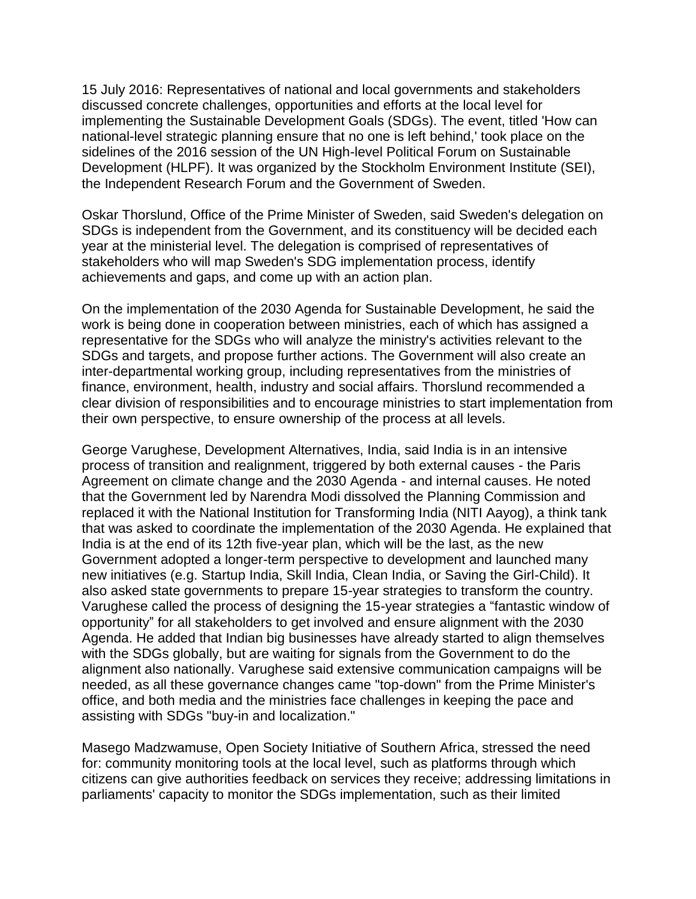15 July 2016: Representatives of national and local governments and stakeholders discussed concrete challenges, opportunities and efforts at the local level for implementing the Sustainable Development Goals (SDGs). The event, titled 'How can national-level strategic planning ensure that no one is left behind,' took place on the sidelines of the 2016 session of the UN High-level Political Forum on Sustainable Development (HLPF). It was organized by the Stockholm Environment Institute (SEI), the Independent Research Forum and the Government of Sweden.

Oskar Thorslund, Office of the Prime Minister of Sweden, said Sweden's delegation on SDGs is independent from the Government, and its constituency will be decided each year at the ministerial level. The delegation is comprised of representatives of stakeholders who will map Sweden's SDG implementation process, identify achievements and gaps, and come up with an action plan.

On the implementation of the 2030 Agenda for Sustainable Development, he said the work is being done in cooperation between ministries, each of which has assigned a representative for the SDGs who will analyze the ministry's activities relevant to the SDGs and targets, and propose further actions. The Government will also create an inter-departmental working group, including representatives from the ministries of finance, environment, health, industry and social affairs. Thorslund recommended a clear division of responsibilities and to encourage ministries to start implementation from their own perspective, to ensure ownership of the process at all levels.

George Varughese, Development Alternatives, India, said India is in an intensive process of transition and realignment, triggered by both external causes - the Paris Agreement on climate change and the 2030 Agenda - and internal causes. He noted that the Government led by Narendra Modi dissolved the Planning Commission and replaced it with the National Institution for Transforming India (NITI Aayog), a think tank that was asked to coordinate the implementation of the 2030 Agenda. He explained that India is at the end of its 12th five-year plan, which will be the last, as the new Government adopted a longer-term perspective to development and launched many new initiatives (e.g. Startup India, Skill India, Clean India, or Saving the Girl-Child). It also asked state governments to prepare 15-year strategies to transform the country. Varughese called the process of designing the 15-year strategies a "fantastic window of opportunity" for all stakeholders to get involved and ensure alignment with the 2030 Agenda. He added that Indian big businesses have already started to align themselves with the SDGs globally, but are waiting for signals from the Government to do the alignment also nationally. Varughese said extensive communication campaigns will be needed, as all these governance changes came "top-down" from the Prime Minister's office, and both media and the ministries face challenges in keeping the pace and assisting with SDGs "buy-in and localization."

Masego Madzwamuse, Open Society Initiative of Southern Africa, stressed the need for: community monitoring tools at the local level, such as platforms through which citizens can give authorities feedback on services they receive; addressing limitations in parliaments' capacity to monitor the SDGs implementation, such as their limited